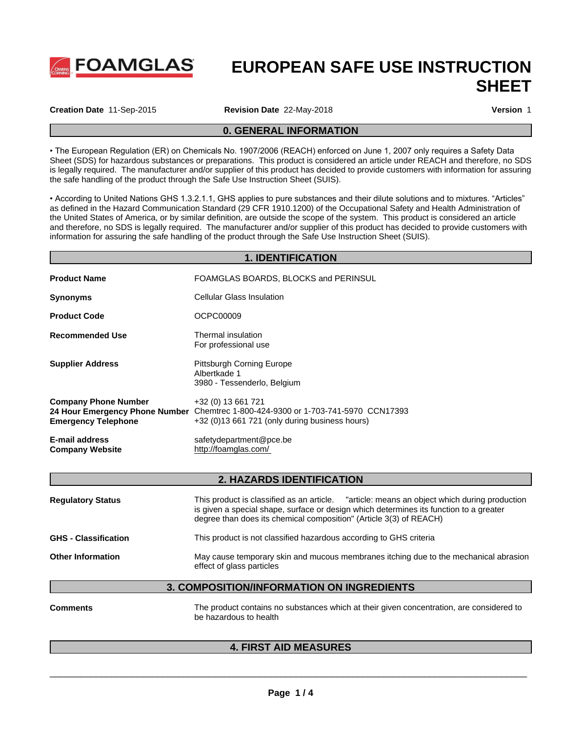

# **EUROPEAN SAFE USE INSTRUCTION SHEET**

**Creation Date** 11-Sep-2015 **Revision Date** 22-May-2018 **Version** 1

### **0. GENERAL INFORMATION**

• The European Regulation (ER) on Chemicals No. 1907/2006 (REACH) enforced on June 1, 2007 only requires a Safety Data Sheet (SDS) for hazardous substances or preparations. This product is considered an article under REACH and therefore, no SDS is legally required. The manufacturer and/or supplier of this product has decided to provide customers with information for assuring the safe handling of the product through the Safe Use Instruction Sheet (SUIS).

• According to United Nations GHS 1.3.2.1.1, GHS applies to pure substances and their dilute solutions and to mixtures. "Articles" as defined in the Hazard Communication Standard (29 CFR 1910.1200) ofthe Occupational Safety and Health Administration of the United States of America, or by similar definition, are outside the scope of the system. This product is considered an article and therefore, no SDS is legally required. The manufacturer and/or supplier of this product has decided to provide customers with information for assuring the safe handling of the product through the Safe Use Instruction Sheet (SUIS).

#### **1. IDENTIFICATION**

| <b>Product Name</b>                                       | FOAMGLAS BOARDS, BLOCKS and PERINSUL                                                                                                                        |
|-----------------------------------------------------------|-------------------------------------------------------------------------------------------------------------------------------------------------------------|
| <b>Synonyms</b>                                           | Cellular Glass Insulation                                                                                                                                   |
| <b>Product Code</b>                                       | OCPC00009                                                                                                                                                   |
| <b>Recommended Use</b>                                    | Thermal insulation<br>For professional use                                                                                                                  |
| <b>Supplier Address</b>                                   | <b>Pittsburgh Corning Europe</b><br>Albertkade 1<br>3980 - Tessenderlo, Belgium                                                                             |
| <b>Company Phone Number</b><br><b>Emergency Telephone</b> | +32 (0) 13 661 721<br>24 Hour Emergency Phone Number Chemtrec 1-800-424-9300 or 1-703-741-5970 CCN17393<br>$+32$ (0)13 661 721 (only during business hours) |
| E-mail address<br><b>Company Website</b>                  | safetydepartment@pce.be<br>http://foamglas.com/                                                                                                             |

### **2. HAZARDS IDENTIFICATION**

| <b>Regulatory Status</b>    | This product is classified as an article. "article: means an object which during production<br>is given a special shape, surface or design which determines its function to a greater<br>degree than does its chemical composition" (Article 3(3) of REACH) |  |
|-----------------------------|-------------------------------------------------------------------------------------------------------------------------------------------------------------------------------------------------------------------------------------------------------------|--|
| <b>GHS - Classification</b> | This product is not classified hazardous according to GHS criteria                                                                                                                                                                                          |  |
| <b>Other Information</b>    | May cause temporary skin and mucous membranes itching due to the mechanical abrasion<br>effect of glass particles                                                                                                                                           |  |

### **3. COMPOSITION/INFORMATION ON INGREDIENTS**

**Comments** The product contains no substances which at their given concentration, are considered to be hazardous to health

 $\overline{\phantom{a}}$  ,  $\overline{\phantom{a}}$  ,  $\overline{\phantom{a}}$  ,  $\overline{\phantom{a}}$  ,  $\overline{\phantom{a}}$  ,  $\overline{\phantom{a}}$  ,  $\overline{\phantom{a}}$  ,  $\overline{\phantom{a}}$  ,  $\overline{\phantom{a}}$  ,  $\overline{\phantom{a}}$  ,  $\overline{\phantom{a}}$  ,  $\overline{\phantom{a}}$  ,  $\overline{\phantom{a}}$  ,  $\overline{\phantom{a}}$  ,  $\overline{\phantom{a}}$  ,  $\overline{\phantom{a}}$ 

### **4. FIRST AID MEASURES**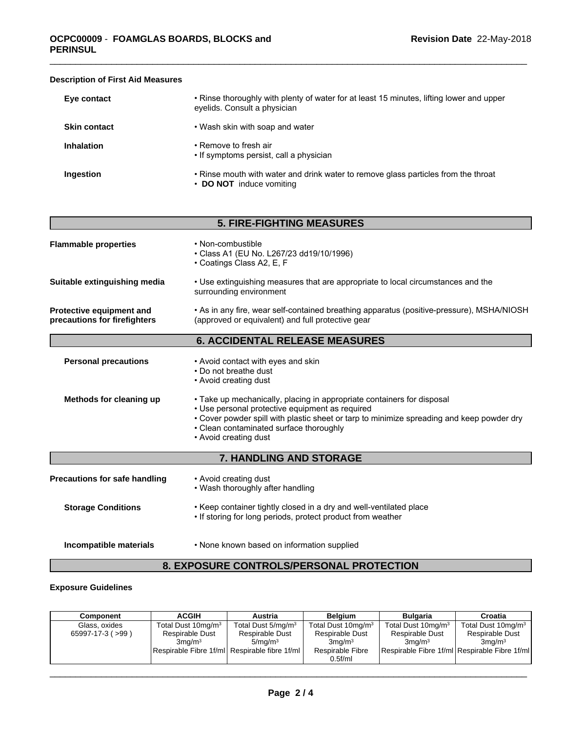| Eye contact         | • Rinse thoroughly with plenty of water for at least 15 minutes, lifting lower and upper<br>eyelids. Consult a physician |
|---------------------|--------------------------------------------------------------------------------------------------------------------------|
| <b>Skin contact</b> | • Wash skin with soap and water                                                                                          |
| <b>Inhalation</b>   | • Remove to fresh air<br>• If symptoms persist, call a physician                                                         |
| Ingestion           | • Rinse mouth with water and drink water to remove glass particles from the throat<br>• DO NOT induce vomiting           |

### **Description of First Aid Measures**

|                                                          | <b>5. FIRE-FIGHTING MEASURES</b>                                                                                                                                                                                                                                                           |
|----------------------------------------------------------|--------------------------------------------------------------------------------------------------------------------------------------------------------------------------------------------------------------------------------------------------------------------------------------------|
| <b>Flammable properties</b>                              | • Non-combustible<br>• Class A1 (EU No. L267/23 dd19/10/1996)<br>• Coatings Class A2, E, F                                                                                                                                                                                                 |
| Suitable extinguishing media                             | • Use extinguishing measures that are appropriate to local circumstances and the<br>surrounding environment                                                                                                                                                                                |
| Protective equipment and<br>precautions for firefighters | • As in any fire, wear self-contained breathing apparatus (positive-pressure), MSHA/NIOSH<br>(approved or equivalent) and full protective gear                                                                                                                                             |
|                                                          | <b>6. ACCIDENTAL RELEASE MEASURES</b>                                                                                                                                                                                                                                                      |
| <b>Personal precautions</b>                              | • Avoid contact with eyes and skin<br>• Do not breathe dust<br>• Avoid creating dust                                                                                                                                                                                                       |
| Methods for cleaning up                                  | • Take up mechanically, placing in appropriate containers for disposal<br>• Use personal protective equipment as required<br>• Cover powder spill with plastic sheet or tarp to minimize spreading and keep powder dry<br>• Clean contaminated surface thoroughly<br>• Avoid creating dust |
|                                                          | 7. HANDLING AND STORAGE                                                                                                                                                                                                                                                                    |
| Precautions for safe handling                            | • Avoid creating dust<br>• Wash thoroughly after handling                                                                                                                                                                                                                                  |
| <b>Storage Conditions</b>                                | . Keep container tightly closed in a dry and well-ventilated place<br>. If storing for long periods, protect product from weather                                                                                                                                                          |
| Incompatible materials                                   | • None known based on information supplied                                                                                                                                                                                                                                                 |

## **8. EXPOSURE CONTROLS/PERSONAL PROTECTION**

### **Exposure Guidelines**

| Component              | <b>ACGIH</b>                                  | <b>Austria</b>                 | <b>Belaium</b>                 | Bulgaria                                      | Croatia                        |
|------------------------|-----------------------------------------------|--------------------------------|--------------------------------|-----------------------------------------------|--------------------------------|
| Glass, oxides          | Total Dust 10mg/m <sup>3</sup>                | Total Dust 5/mg/m <sup>3</sup> | Total Dust 10mg/m <sup>3</sup> | Total Dust 10mg/m <sup>3</sup>                | Total Dust 10mg/m <sup>3</sup> |
| $65997-17-3$ ( $>99$ ) | Respirable Dust                               | Respirable Dust                | Respirable Dust                | Respirable Dust                               | <b>Respirable Dust</b>         |
|                        | $3$ ma/m $3$                                  | 5/mq/m <sup>3</sup>            | $3$ mg/m $3$                   | $3$ ma/m $3$                                  | 3ma/m <sup>3</sup>             |
|                        | Respirable Fibre 1f/ml Respirable fibre 1f/ml |                                | Respirable Fibre               | Respirable Fibre 1f/ml Respirable Fibre 1f/ml |                                |
|                        |                                               |                                | 0.5 <sub>f</sub> /ml           |                                               |                                |

 $\overline{\phantom{a}}$  ,  $\overline{\phantom{a}}$  ,  $\overline{\phantom{a}}$  ,  $\overline{\phantom{a}}$  ,  $\overline{\phantom{a}}$  ,  $\overline{\phantom{a}}$  ,  $\overline{\phantom{a}}$  ,  $\overline{\phantom{a}}$  ,  $\overline{\phantom{a}}$  ,  $\overline{\phantom{a}}$  ,  $\overline{\phantom{a}}$  ,  $\overline{\phantom{a}}$  ,  $\overline{\phantom{a}}$  ,  $\overline{\phantom{a}}$  ,  $\overline{\phantom{a}}$  ,  $\overline{\phantom{a}}$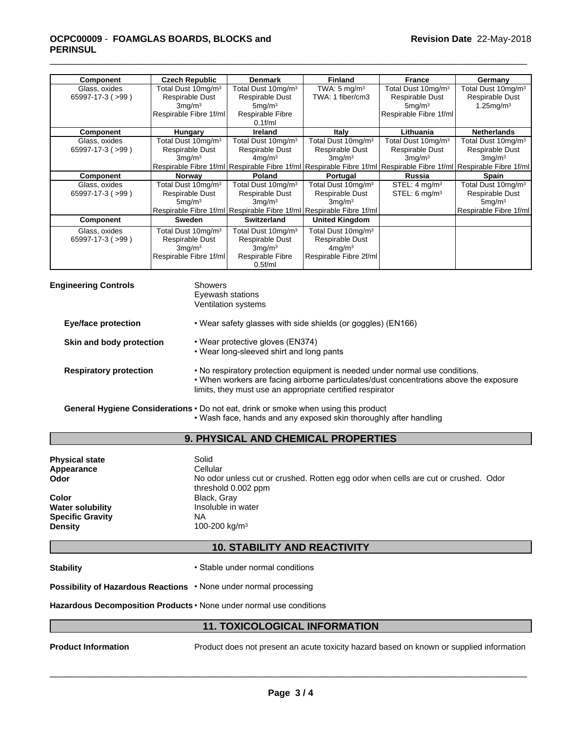### \_\_\_\_\_\_\_\_\_\_\_\_\_\_\_\_\_\_\_\_\_\_\_\_\_\_\_\_\_\_\_\_\_\_\_\_\_\_\_\_\_\_\_\_\_\_\_\_\_\_\_\_\_\_\_\_\_\_\_\_\_\_\_\_\_\_\_\_\_\_\_\_\_\_\_\_\_\_\_\_\_\_\_\_\_\_\_\_\_\_\_\_\_ **OCPC00009** - **FOAMGLAS BOARDS, BLOCKS and PERINSUL**

| <b>Component</b>       | <b>Czech Republic</b>           | <b>Denmark</b>                  | <b>Finland</b>                                                                                                     | France                          | Germany                         |
|------------------------|---------------------------------|---------------------------------|--------------------------------------------------------------------------------------------------------------------|---------------------------------|---------------------------------|
| Glass, oxides          | Total Dust 10mg/m <sup>3</sup>  | Total Dust 10mg/m <sup>3</sup>  | TWA: $5 \text{ mg/m}^3$                                                                                            | Total Dust 10mg/m <sup>3</sup>  | Total Dust 10mg/m <sup>3</sup>  |
| $65997-17-3$ ( $>99$ ) | Respirable Dust                 | Respirable Dust                 | TWA: 1 fiber/cm3                                                                                                   | Respirable Dust                 | Respirable Dust                 |
|                        | 3mq/m <sup>3</sup>              | 5 <sub>mq</sub> /m <sup>3</sup> |                                                                                                                    | 5 <sub>mq</sub> /m <sup>3</sup> | $1.25$ mg/m $3$                 |
|                        | Respirable Fibre 1f/ml          | Respirable Fibre                |                                                                                                                    | Respirable Fibre 1f/ml          |                                 |
|                        |                                 | $0.1$ f/ml                      |                                                                                                                    |                                 |                                 |
| Component              | Hungary                         | <b>Ireland</b>                  | Italy                                                                                                              | Lithuania                       | <b>Netherlands</b>              |
| Glass, oxides          | Total Dust 10mg/m <sup>3</sup>  | Total Dust 10mg/m <sup>3</sup>  | Total Dust 10mg/m <sup>3</sup>                                                                                     | Total Dust 10mg/m <sup>3</sup>  | Total Dust 10mg/m <sup>3</sup>  |
| $65997-17-3$ ( $>99$ ) | Respirable Dust                 | Respirable Dust                 | Respirable Dust                                                                                                    | Respirable Dust                 | Respirable Dust                 |
|                        | 3mq/m <sup>3</sup>              | $4$ mg/m $3$                    | 3mq/m <sup>3</sup>                                                                                                 | 3mq/m <sup>3</sup>              | $3$ mg/m $3$                    |
|                        |                                 |                                 | Respirable Fibre 1f/ml Respirable Fibre 1f/ml Respirable Fibre 1f/ml Respirable Fibre 1f/ml Respirable Fibre 1f/ml |                                 |                                 |
| <b>Component</b>       | <b>Norway</b>                   | <b>Poland</b>                   | Portugal                                                                                                           | <b>Russia</b>                   | Spain                           |
| Glass, oxides          | Total Dust 10mg/m <sup>3</sup>  | Total Dust 10mg/m <sup>3</sup>  | Total Dust 10mg/m <sup>3</sup>                                                                                     | STEL: $4 \text{ mq/m}^3$        | Total Dust 10mg/m <sup>3</sup>  |
| $65997-17-3$ ( $>99$ ) | Respirable Dust                 | Respirable Dust                 | Respirable Dust                                                                                                    | STEL: $6 \text{ mg/m}^3$        | Respirable Dust                 |
|                        | 5 <sub>mq</sub> /m <sup>3</sup> | $3$ mg/m $3$                    | 3mq/m <sup>3</sup>                                                                                                 |                                 | 5 <sub>mq</sub> /m <sup>3</sup> |
|                        |                                 |                                 | Respirable Fibre 1f/ml Respirable Fibre 1f/ml Respirable Fibre 1f/ml                                               |                                 | Respirable Fibre 1f/ml          |
| <b>Component</b>       | Sweden                          | Switzerland                     | <b>United Kingdom</b>                                                                                              |                                 |                                 |
| Glass, oxides          | Total Dust 10mg/m <sup>3</sup>  | Total Dust 10mg/m <sup>3</sup>  | Total Dust 10mg/m <sup>3</sup>                                                                                     |                                 |                                 |
| $65997-17-3$ ( $>99$ ) | Respirable Dust                 | Respirable Dust                 | Respirable Dust                                                                                                    |                                 |                                 |
|                        | $3$ mg/m $3$                    | 3mq/m <sup>3</sup>              | $4$ mg/m $3$                                                                                                       |                                 |                                 |
|                        | Respirable Fibre 1f/ml          | Respirable Fibre                | Respirable Fibre 2f/ml                                                                                             |                                 |                                 |
|                        |                                 |                                 |                                                                                                                    |                                 |                                 |

| <b>Engineering Controls</b> |                               | Showers<br>Eyewash stations<br>Ventilation systems                                                                                                                                                                                  |
|-----------------------------|-------------------------------|-------------------------------------------------------------------------------------------------------------------------------------------------------------------------------------------------------------------------------------|
|                             | <b>Eye/face protection</b>    | • Wear safety glasses with side shields (or goggles) (EN166)                                                                                                                                                                        |
|                             | Skin and body protection      | • Wear protective gloves (EN374)<br>• Wear long-sleeved shirt and long pants                                                                                                                                                        |
|                             | <b>Respiratory protection</b> | . No respiratory protection equipment is needed under normal use conditions.<br>. When workers are facing airborne particulates/dust concentrations above the exposure<br>limits, they must use an appropriate certified respirator |
|                             |                               | General Hygiene Considerations • Do not eat, drink or smoke when using this product<br>• Wash face, hands and any exposed skin thoroughly after handling                                                                            |

### **9. PHYSICAL AND CHEMICAL PROPERTIES**

| <b>Physical state</b>   | Solid                                                                                                     |
|-------------------------|-----------------------------------------------------------------------------------------------------------|
| Appearance              | Cellular                                                                                                  |
| Odor                    | No odor unless cut or crushed. Rotten egg odor when cells are cut or crushed. Odor<br>threshold 0.002 ppm |
| Color                   | Black, Gray                                                                                               |
| <b>Water solubility</b> | Insoluble in water                                                                                        |
| <b>Specific Gravity</b> | <b>NA</b>                                                                                                 |
| <b>Density</b>          | 100-200 kg/m <sup>3</sup>                                                                                 |

### **10. STABILITY AND REACTIVITY**

### **Stability • Stable under normal conditions**

**Possibility of Hazardous Reactions** • None under normal processing

Hazardous Decomposition Products · None under normal use conditions

### **11. TOXICOLOGICAL INFORMATION**

**Product Information** Product does not present an acute toxicity hazard based on known or supplied information

 $\overline{\phantom{a}}$  ,  $\overline{\phantom{a}}$  ,  $\overline{\phantom{a}}$  ,  $\overline{\phantom{a}}$  ,  $\overline{\phantom{a}}$  ,  $\overline{\phantom{a}}$  ,  $\overline{\phantom{a}}$  ,  $\overline{\phantom{a}}$  ,  $\overline{\phantom{a}}$  ,  $\overline{\phantom{a}}$  ,  $\overline{\phantom{a}}$  ,  $\overline{\phantom{a}}$  ,  $\overline{\phantom{a}}$  ,  $\overline{\phantom{a}}$  ,  $\overline{\phantom{a}}$  ,  $\overline{\phantom{a}}$